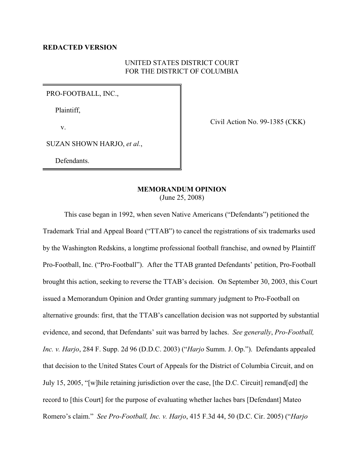## UNITED STATES DISTRICT COURT FOR THE DISTRICT OF COLUMBIA

PRO-FOOTBALL, INC.,

Plaintiff,

v.

Civil Action No. 99-1385 (CKK)

SUZAN SHOWN HARJO, *et al.*,

Defendants.

## **MEMORANDUM OPINION**

(June 25, 2008)

This case began in 1992, when seven Native Americans ("Defendants") petitioned the Trademark Trial and Appeal Board ("TTAB") to cancel the registrations of six trademarks used by the Washington Redskins, a longtime professional football franchise, and owned by Plaintiff Pro-Football, Inc. ("Pro-Football"). After the TTAB granted Defendants' petition, Pro-Football brought this action, seeking to reverse the TTAB's decision. On September 30, 2003, this Court issued a Memorandum Opinion and Order granting summary judgment to Pro-Football on alternative grounds: first, that the TTAB's cancellation decision was not supported by substantial evidence, and second, that Defendants' suit was barred by laches. *See generally*, *Pro-Football, Inc. v. Harjo*, 284 F. Supp. 2d 96 (D.D.C. 2003) ("*Harjo* Summ. J. Op."). Defendants appealed that decision to the United States Court of Appeals for the District of Columbia Circuit, and on July 15, 2005, "[w]hile retaining jurisdiction over the case, [the D.C. Circuit] remand[ed] the record to [this Court] for the purpose of evaluating whether laches bars [Defendant] Mateo Romero's claim." *See Pro-Football, Inc. v. Harjo*, 415 F.3d 44, 50 (D.C. Cir. 2005) ("*Harjo*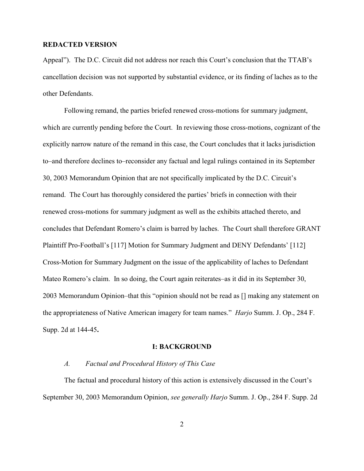Appeal"). The D.C. Circuit did not address nor reach this Court's conclusion that the TTAB's cancellation decision was not supported by substantial evidence, or its finding of laches as to the other Defendants.

Following remand, the parties briefed renewed cross-motions for summary judgment, which are currently pending before the Court. In reviewing those cross-motions, cognizant of the explicitly narrow nature of the remand in this case, the Court concludes that it lacks jurisdiction to–and therefore declines to–reconsider any factual and legal rulings contained in its September 30, 2003 Memorandum Opinion that are not specifically implicated by the D.C. Circuit's remand. The Court has thoroughly considered the parties' briefs in connection with their renewed cross-motions for summary judgment as well as the exhibits attached thereto, and concludes that Defendant Romero's claim is barred by laches. The Court shall therefore GRANT Plaintiff Pro-Football's [117] Motion for Summary Judgment and DENY Defendants' [112] Cross-Motion for Summary Judgment on the issue of the applicability of laches to Defendant Mateo Romero's claim. In so doing, the Court again reiterates–as it did in its September 30, 2003 Memorandum Opinion–that this "opinion should not be read as [] making any statement on the appropriateness of Native American imagery for team names." *Harjo* Summ. J. Op., 284 F. Supp. 2d at 144-45**.**

#### **I: BACKGROUND**

## *A. Factual and Procedural History of This Case*

The factual and procedural history of this action is extensively discussed in the Court's September 30, 2003 Memorandum Opinion, *see generally Harjo* Summ. J. Op., 284 F. Supp. 2d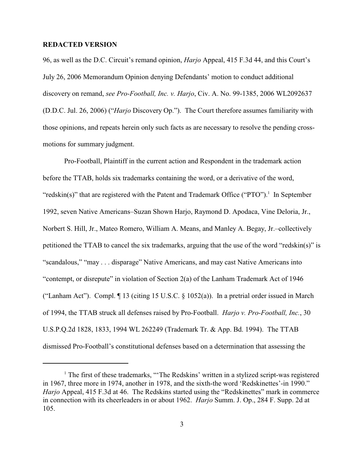96, as well as the D.C. Circuit's remand opinion, *Harjo* Appeal, 415 F.3d 44, and this Court's July 26, 2006 Memorandum Opinion denying Defendants' motion to conduct additional discovery on remand, *see Pro-Football, Inc. v. Harjo*, Civ. A. No. 99-1385, 2006 WL2092637 (D.D.C. Jul. 26, 2006) ("*Harjo* Discovery Op."). The Court therefore assumes familiarity with those opinions, and repeats herein only such facts as are necessary to resolve the pending crossmotions for summary judgment.

Pro-Football, Plaintiff in the current action and Respondent in the trademark action before the TTAB, holds six trademarks containing the word, or a derivative of the word, "redskin(s)" that are registered with the Patent and Trademark Office ("PTO").<sup>1</sup> In September 1992, seven Native Americans–Suzan Shown Harjo, Raymond D. Apodaca, Vine Deloria, Jr., Norbert S. Hill, Jr., Mateo Romero, William A. Means, and Manley A. Begay, Jr.–collectively petitioned the TTAB to cancel the six trademarks, arguing that the use of the word "redskin(s)" is "scandalous," "may . . . disparage" Native Americans, and may cast Native Americans into "contempt, or disrepute" in violation of Section 2(a) of the Lanham Trademark Act of 1946 ("Lanham Act"). Compl. ¶ 13 (citing 15 U.S.C. § 1052(a)). In a pretrial order issued in March of 1994, the TTAB struck all defenses raised by Pro-Football. *Harjo v. Pro-Football, Inc.*, 30 U.S.P.Q.2d 1828, 1833, 1994 WL 262249 (Trademark Tr. & App. Bd. 1994). The TTAB dismissed Pro-Football's constitutional defenses based on a determination that assessing the

 $<sup>1</sup>$  The first of these trademarks, "The Redskins' written in a stylized script-was registered</sup> in 1967, three more in 1974, another in 1978, and the sixth-the word 'Redskinettes'-in 1990." *Harjo* Appeal, 415 F.3d at 46. The Redskins started using the "Redskinettes" mark in commerce in connection with its cheerleaders in or about 1962. *Harjo* Summ. J. Op., 284 F. Supp. 2d at 105.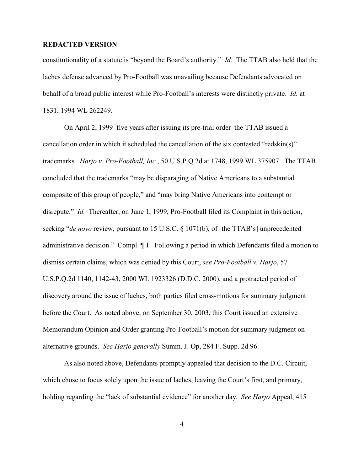constitutionality of a statute is "beyond the Board's authority." *Id.* The TTAB also held that the laches defense advanced by Pro-Football was unavailing because Defendants advocated on behalf of a broad public interest while Pro-Football's interests were distinctly private. *Id.* at 1831, 1994 WL 262249.

On April 2, 1999–five years after issuing its pre-trial order–the TTAB issued a cancellation order in which it scheduled the cancellation of the six contested "redskin(s)" trademarks. *Harjo v. Pro-Football, Inc.*, 50 U.S.P.Q.2d at 1748, 1999 WL 375907. The TTAB concluded that the trademarks "may be disparaging of Native Americans to a substantial composite of this group of people," and "may bring Native Americans into contempt or disrepute." *Id.* Thereafter, on June 1, 1999, Pro-Football filed its Complaint in this action, seeking "*de novo* review, pursuant to 15 U.S.C. § 1071(b), of [the TTAB's] unprecedented administrative decision." Compl. ¶ 1. Following a period in which Defendants filed a motion to dismiss certain claims, which was denied by this Court, *see Pro-Football v. Harjo*, 57 U.S.P.Q.2d 1140, 1142-43, 2000 WL 1923326 (D.D.C. 2000), and a protracted period of discovery around the issue of laches, both parties filed cross-motions for summary judgment before the Court. As noted above, on September 30, 2003, this Court issued an extensive Memorandum Opinion and Order granting Pro-Football's motion for summary judgment on alternative grounds. *See Harjo generally* Summ. J. Op, 284 F. Supp. 2d 96.

As also noted above, Defendants promptly appealed that decision to the D.C. Circuit, which chose to focus solely upon the issue of laches, leaving the Court's first, and primary, holding regarding the "lack of substantial evidence" for another day. *See Harjo* Appeal, 415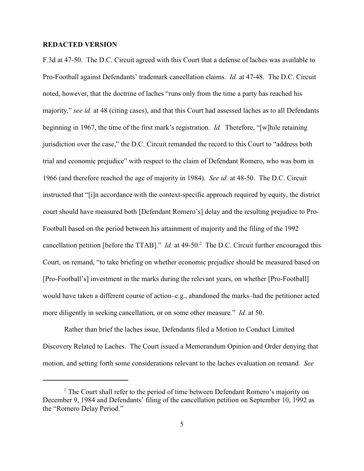F.3d at 47-50. The D.C. Circuit agreed with this Court that a defense of laches was available to Pro-Football against Defendants' trademark cancellation claims. *Id.* at 47-48. The D.C. Circuit noted, however, that the doctrine of laches "runs only from the time a party has reached his majority," *see id.* at 48 (citing cases), and that this Court had assessed laches as to all Defendants beginning in 1967, the time of the first mark's registration. *Id.* Therefore, "[w]hile retaining jurisdiction over the case," the D.C. Circuit remanded the record to this Court to "address both trial and economic prejudice" with respect to the claim of Defendant Romero, who was born in 1966 (and therefore reached the age of majority in 1984). *See id.* at 48-50. The D.C. Circuit instructed that "[i]n accordance with the context-specific approach required by equity, the district court should have measured both [Defendant Romero's] delay and the resulting prejudice to Pro-Football based on the period between his attainment of majority and the filing of the 1992 cancellation petition [before the TTAB]." *Id.* at 49-50.<sup>2</sup> The D.C. Circuit further encouraged this Court, on remand, "to take briefing on whether economic prejudice should be measured based on [Pro-Football's] investment in the marks during the relevant years, on whether [Pro-Football] would have taken a different course of action–e.g., abandoned the marks–had the petitioner acted more diligently in seeking cancellation, or on some other measure." *Id.* at 50.

Rather than brief the laches issue, Defendants filed a Motion to Conduct Limited Discovery Related to Laches. The Court issued a Memorandum Opinion and Order denying that motion, and setting forth some considerations relevant to the laches evaluation on remand. *See*

 $2$  The Court shall refer to the period of time between Defendant Romero's majority on December 9, 1984 and Defendants' filing of the cancellation petition on September 10, 1992 as the "Romero Delay Period."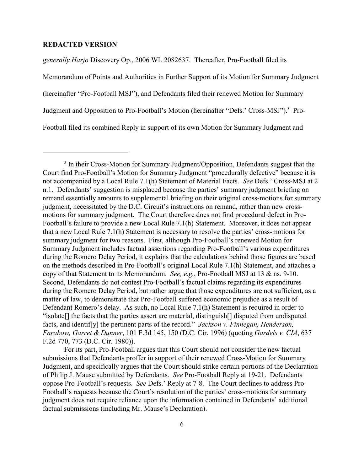*generally Harjo* Discovery Op., 2006 WL 2082637. Thereafter, Pro-Football filed its Memorandum of Points and Authorities in Further Support of its Motion for Summary Judgment (hereinafter "Pro-Football MSJ"), and Defendants filed their renewed Motion for Summary Judgment and Opposition to Pro-Football's Motion (hereinafter "Defs.' Cross-MSJ").<sup>3</sup> Pro-Football filed its combined Reply in support of its own Motion for Summary Judgment and

For its part, Pro-Football argues that this Court should not consider the new factual submissions that Defendants proffer in support of their renewed Cross-Motion for Summary Judgment, and specifically argues that the Court should strike certain portions of the Declaration of Philip J. Mause submitted by Defendants. *See* Pro-Football Reply at 19-21. Defendants oppose Pro-Football's requests. *See* Defs.' Reply at 7-8. The Court declines to address Pro-Football's requests because the Court's resolution of the parties' cross-motions for summary judgment does not require reliance upon the information contained in Defendants' additional factual submissions (including Mr. Mause's Declaration).

<sup>&</sup>lt;sup>3</sup> In their Cross-Motion for Summary Judgment/Opposition, Defendants suggest that the Court find Pro-Football's Motion for Summary Judgment "procedurally defective" because it is not accompanied by a Local Rule 7.1(h) Statement of Material Facts. *See* Defs.' Cross-MSJ at 2 n.1. Defendants' suggestion is misplaced because the parties' summary judgment briefing on remand essentially amounts to supplemental briefing on their original cross-motions for summary judgment, necessitated by the D.C. Circuit's instructions on remand, rather than new crossmotions for summary judgment. The Court therefore does not find procedural defect in Pro-Football's failure to provide a new Local Rule 7.1(h) Statement. Moreover, it does not appear that a new Local Rule 7.1(h) Statement is necessary to resolve the parties' cross-motions for summary judgment for two reasons. First, although Pro-Football's renewed Motion for Summary Judgment includes factual assertions regarding Pro-Football's various expenditures during the Romero Delay Period, it explains that the calculations behind those figures are based on the methods described in Pro-Football's original Local Rule 7.1(h) Statement, and attaches a copy of that Statement to its Memorandum. *See, e.g.*, Pro-Football MSJ at 13 & ns. 9-10. Second, Defendants do not contest Pro-Football's factual claims regarding its expenditures during the Romero Delay Period, but rather argue that those expenditures are not sufficient, as a matter of law, to demonstrate that Pro-Football suffered economic prejudice as a result of Defendant Romero's delay. As such, no Local Rule 7.1(h) Statement is required in order to "isolate[] the facts that the parties assert are material, distinguish[] disputed from undisputed facts, and identif[y] the pertinent parts of the record." *Jackson v. Finnegan, Henderson, Farabow, Garret & Dunner*, 101 F.3d 145, 150 (D.C. Cir. 1996) (quoting *Gardels v. CIA*, 637 F.2d 770, 773 (D.C. Cir. 1980)).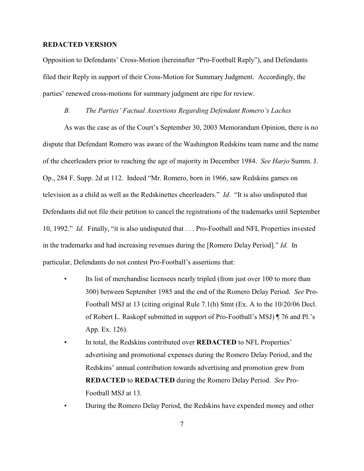Opposition to Defendants' Cross-Motion (hereinafter "Pro-Football Reply"), and Defendants filed their Reply in support of their Cross-Motion for Summary Judgment. Accordingly, the parties' renewed cross-motions for summary judgment are ripe for review.

#### *B. The Parties' Factual Assertions Regarding Defendant Romero's Laches*

As was the case as of the Court's September 30, 2003 Memorandum Opinion, there is no dispute that Defendant Romero was aware of the Washington Redskins team name and the name of the cheerleaders prior to reaching the age of majority in December 1984. *See Harjo* Summ. J. Op., 284 F. Supp. 2d at 112. Indeed "Mr. Romero, born in 1966, saw Redskins games on television as a child as well as the Redskinettes cheerleaders." *Id.* "It is also undisputed that Defendants did not file their petition to cancel the registrations of the trademarks until September 10, 1992." *Id.* Finally, "it is also undisputed that . . . Pro-Football and NFL Properties invested in the trademarks and had increasing revenues during the [Romero Delay Period]." *Id.* In particular, Defendants do not contest Pro-Football's assertions that:

- Its list of merchandise licensees nearly tripled (from just over 100 to more than 300) between September 1985 and the end of the Romero Delay Period. *See* Pro-Football MSJ at 13 (citing original Rule 7.1(h) Stmt (Ex. A to the 10/20/06 Decl. of Robert L. Raskopf submitted in support of Pro-Football's MSJ) ¶ 76 and Pl.'s App. Ex. 126).
- In total, the Redskins contributed over **REDACTED** to NFL Properties' advertising and promotional expenses during the Romero Delay Period, and the Redskins' annual contribution towards advertising and promotion grew from **REDACTED** to **REDACTED** during the Romero Delay Period. *See* Pro-Football MSJ at 13.
- During the Romero Delay Period, the Redskins have expended money and other

7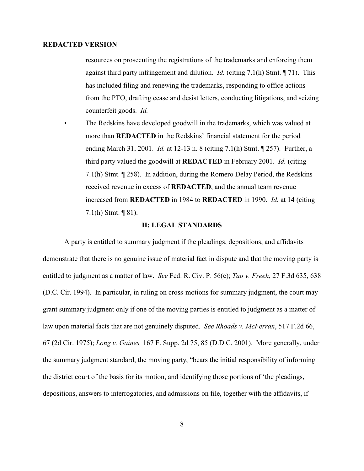resources on prosecuting the registrations of the trademarks and enforcing them against third party infringement and dilution. *Id.* (citing 7.1(h) Stmt. ¶ 71). This has included filing and renewing the trademarks, responding to office actions from the PTO, drafting cease and desist letters, conducting litigations, and seizing counterfeit goods. *Id.*

• The Redskins have developed goodwill in the trademarks, which was valued at more than **REDACTED** in the Redskins' financial statement for the period ending March 31, 2001. *Id.* at 12-13 n. 8 (citing 7.1(h) Stmt. ¶ 257). Further, a third party valued the goodwill at **REDACTED** in February 2001. *Id.* (citing 7.1(h) Stmt. ¶ 258). In addition, during the Romero Delay Period, the Redskins received revenue in excess of **REDACTED**, and the annual team revenue increased from **REDACTED** in 1984 to **REDACTED** in 1990. *Id.* at 14 (citing 7.1(h) Stmt. ¶ 81).

#### **II: LEGAL STANDARDS**

A party is entitled to summary judgment if the pleadings, depositions, and affidavits demonstrate that there is no genuine issue of material fact in dispute and that the moving party is entitled to judgment as a matter of law. *See* Fed. R. Civ. P. 56(c); *Tao v. Freeh*, 27 F.3d 635, 638 (D.C. Cir. 1994). In particular, in ruling on cross-motions for summary judgment, the court may grant summary judgment only if one of the moving parties is entitled to judgment as a matter of law upon material facts that are not genuinely disputed. *See Rhoads v. McFerran*, 517 F.2d 66, 67 (2d Cir. 1975); *Long v. Gaines,* 167 F. Supp. 2d 75, 85 (D.D.C. 2001). More generally, under the summary judgment standard, the moving party, "bears the initial responsibility of informing the district court of the basis for its motion, and identifying those portions of 'the pleadings, depositions, answers to interrogatories, and admissions on file, together with the affidavits, if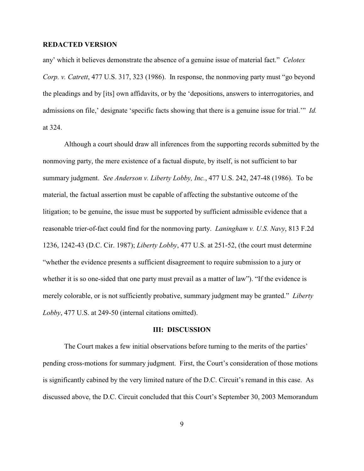any' which it believes demonstrate the absence of a genuine issue of material fact." *Celotex Corp. v. Catrett*, 477 U.S. 317, 323 (1986). In response, the nonmoving party must "go beyond the pleadings and by [its] own affidavits, or by the 'depositions, answers to interrogatories, and admissions on file,' designate 'specific facts showing that there is a genuine issue for trial.'" *Id.* at 324.

Although a court should draw all inferences from the supporting records submitted by the nonmoving party, the mere existence of a factual dispute, by itself, is not sufficient to bar summary judgment. *See Anderson v. Liberty Lobby, Inc.*, 477 U.S. 242, 247-48 (1986). To be material, the factual assertion must be capable of affecting the substantive outcome of the litigation; to be genuine, the issue must be supported by sufficient admissible evidence that a reasonable trier-of-fact could find for the nonmoving party. *Laningham v. U.S. Navy*, 813 F.2d 1236, 1242-43 (D.C. Cir. 1987); *Liberty Lobby*, 477 U.S. at 251-52, (the court must determine "whether the evidence presents a sufficient disagreement to require submission to a jury or whether it is so one-sided that one party must prevail as a matter of law"). "If the evidence is merely colorable, or is not sufficiently probative, summary judgment may be granted." *Liberty Lobby*, 477 U.S. at 249-50 (internal citations omitted).

#### **III: DISCUSSION**

The Court makes a few initial observations before turning to the merits of the parties' pending cross-motions for summary judgment. First, the Court's consideration of those motions is significantly cabined by the very limited nature of the D.C. Circuit's remand in this case. As discussed above, the D.C. Circuit concluded that this Court's September 30, 2003 Memorandum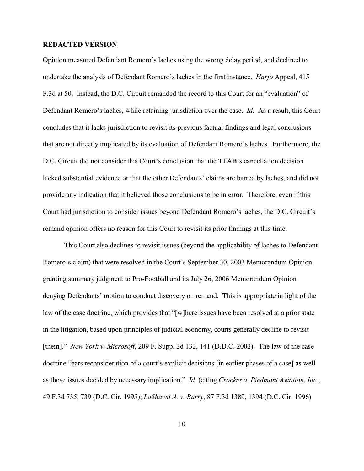Opinion measured Defendant Romero's laches using the wrong delay period, and declined to undertake the analysis of Defendant Romero's laches in the first instance. *Harjo* Appeal, 415 F.3d at 50. Instead, the D.C. Circuit remanded the record to this Court for an "evaluation" of Defendant Romero's laches, while retaining jurisdiction over the case. *Id.* As a result, this Court concludes that it lacks jurisdiction to revisit its previous factual findings and legal conclusions that are not directly implicated by its evaluation of Defendant Romero's laches. Furthermore, the D.C. Circuit did not consider this Court's conclusion that the TTAB's cancellation decision lacked substantial evidence or that the other Defendants' claims are barred by laches, and did not provide any indication that it believed those conclusions to be in error. Therefore, even if this Court had jurisdiction to consider issues beyond Defendant Romero's laches, the D.C. Circuit's remand opinion offers no reason for this Court to revisit its prior findings at this time.

This Court also declines to revisit issues (beyond the applicability of laches to Defendant Romero's claim) that were resolved in the Court's September 30, 2003 Memorandum Opinion granting summary judgment to Pro-Football and its July 26, 2006 Memorandum Opinion denying Defendants' motion to conduct discovery on remand. This is appropriate in light of the law of the case doctrine, which provides that "[w]here issues have been resolved at a prior state in the litigation, based upon principles of judicial economy, courts generally decline to revisit [them]." *New York v. Microsoft*, 209 F. Supp. 2d 132, 141 (D.D.C. 2002). The law of the case doctrine "bars reconsideration of a court's explicit decisions [in earlier phases of a case] as well as those issues decided by necessary implication." *Id.* (citing *Crocker v. Piedmont Aviation, Inc.*, 49 F.3d 735, 739 (D.C. Cir. 1995); *LaShawn A. v. Barry*, 87 F.3d 1389, 1394 (D.C. Cir. 1996)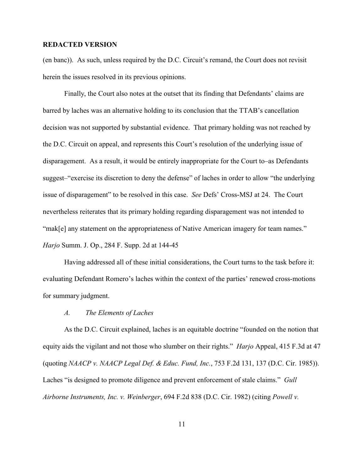(en banc)). As such, unless required by the D.C. Circuit's remand, the Court does not revisit herein the issues resolved in its previous opinions.

Finally, the Court also notes at the outset that its finding that Defendants' claims are barred by laches was an alternative holding to its conclusion that the TTAB's cancellation decision was not supported by substantial evidence. That primary holding was not reached by the D.C. Circuit on appeal, and represents this Court's resolution of the underlying issue of disparagement. As a result, it would be entirely inappropriate for the Court to–as Defendants suggest–"exercise its discretion to deny the defense" of laches in order to allow "the underlying issue of disparagement" to be resolved in this case. *See* Defs' Cross-MSJ at 24. The Court nevertheless reiterates that its primary holding regarding disparagement was not intended to "mak[e] any statement on the appropriateness of Native American imagery for team names." *Harjo* Summ. J. Op., 284 F. Supp. 2d at 144-45

Having addressed all of these initial considerations, the Court turns to the task before it: evaluating Defendant Romero's laches within the context of the parties' renewed cross-motions for summary judgment.

## *A. The Elements of Laches*

As the D.C. Circuit explained, laches is an equitable doctrine "founded on the notion that equity aids the vigilant and not those who slumber on their rights." *Harjo* Appeal, 415 F.3d at 47 (quoting *NAACP v. NAACP Legal Def. & Educ. Fund, Inc.*, 753 F.2d 131, 137 (D.C. Cir. 1985)). Laches "is designed to promote diligence and prevent enforcement of stale claims." *Gull Airborne Instruments, Inc. v. Weinberger*, 694 F.2d 838 (D.C. Cir. 1982) (citing *Powell v.*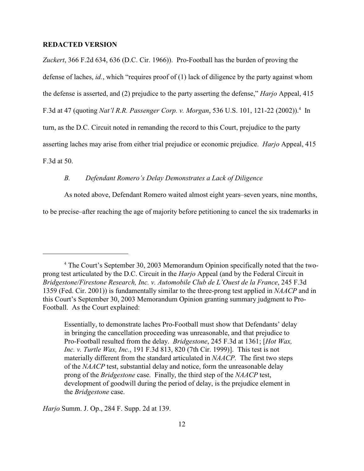*Zuckert*, 366 F.2d 634, 636 (D.C. Cir. 1966)). Pro-Football has the burden of proving the defense of laches, *id.*, which "requires proof of (1) lack of diligence by the party against whom the defense is asserted, and (2) prejudice to the party asserting the defense," *Harjo* Appeal, 415 F.3d at 47 (quoting *Nat'l R.R. Passenger Corp. v. Morgan*, 536 U.S. 101, 121-22 (2002)).<sup>4</sup> In turn, as the D.C. Circuit noted in remanding the record to this Court, prejudice to the party asserting laches may arise from either trial prejudice or economic prejudice. *Harjo* Appeal, 415 F.3d at 50.

# *B. Defendant Romero's Delay Demonstrates a Lack of Diligence*

As noted above, Defendant Romero waited almost eight years–seven years, nine months,

to be precise–after reaching the age of majority before petitioning to cancel the six trademarks in

*Harjo* Summ. J. Op., 284 F. Supp. 2d at 139.

<sup>&</sup>lt;sup>4</sup> The Court's September 30, 2003 Memorandum Opinion specifically noted that the twoprong test articulated by the D.C. Circuit in the *Harjo* Appeal (and by the Federal Circuit in *Bridgestone/Firestone Research, Inc. v. Automobile Club de L'Ouest de la France*, 245 F.3d 1359 (Fed. Cir. 2001)) is fundamentally similar to the three-prong test applied in *NAACP* and in this Court's September 30, 2003 Memorandum Opinion granting summary judgment to Pro-Football. As the Court explained:

Essentially, to demonstrate laches Pro-Football must show that Defendants' delay in bringing the cancellation proceeding was unreasonable, and that prejudice to Pro-Football resulted from the delay. *Bridgestone*, 245 F.3d at 1361; [*Hot Wax, Inc. v. Turtle Wax, Inc.*, 191 F.3d 813, 820 (7th Cir. 1999)]. This test is not materially different from the standard articulated in *NAACP*. The first two steps of the *NAACP* test, substantial delay and notice, form the unreasonable delay prong of the *Bridgestone* case. Finally, the third step of the *NAACP* test, development of goodwill during the period of delay, is the prejudice element in the *Bridgestone* case.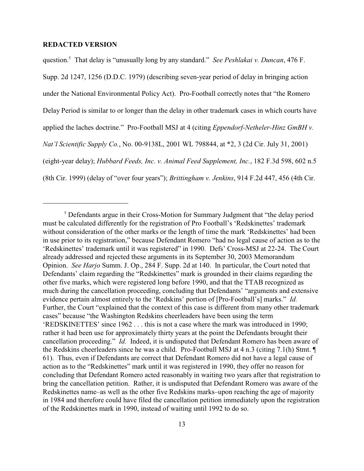question.<sup>5</sup> That delay is "unusually long by any standard." *See Peshlakai v. Duncan*, 476 F. Supp. 2d 1247, 1256 (D.D.C. 1979) (describing seven-year period of delay in bringing action under the National Environmental Policy Act). Pro-Football correctly notes that "the Romero Delay Period is similar to or longer than the delay in other trademark cases in which courts have applied the laches doctrine." Pro-Football MSJ at 4 (citing *Eppendorf-Netheler-Hinz GmBH v. Nat'l Scientific Supply Co.*, No. 00-9138L, 2001 WL 798844, at \*2, 3 (2d Cir. July 31, 2001) (eight-year delay); *Hubbard Feeds, Inc. v. Animal Feed Supplement, Inc.*, 182 F.3d 598, 602 n.5 (8th Cir. 1999) (delay of "over four years"); *Brittingham v. Jenkins*, 914 F.2d 447, 456 (4th Cir.

<sup>&</sup>lt;sup>5</sup> Defendants argue in their Cross-Motion for Summary Judgment that "the delay period must be calculated differently for the registration of Pro Football's 'Redskinettes' trademark without consideration of the other marks or the length of time the mark 'Redskinettes' had been in use prior to its registration," because Defendant Romero "had no legal cause of action as to the 'Redskinettes' trademark until it was registered" in 1990. Defs' Cross-MSJ at 22-24. The Court already addressed and rejected these arguments in its September 30, 2003 Memorandum Opinion. *See Harjo* Summ. J. Op., 284 F. Supp. 2d at 140. In particular, the Court noted that Defendants' claim regarding the "Redskinettes" mark is grounded in their claims regarding the other five marks, which were registered long before 1990, and that the TTAB recognized as much during the cancellation proceeding, concluding that Defendants' "arguments and extensive evidence pertain almost entirely to the 'Redskins' portion of [Pro-Football's] marks." *Id.* Further, the Court "explained that the context of this case is different from many other trademark cases" because "the Washington Redskins cheerleaders have been using the term 'REDSKINETTES' since 1962 . . . this is not a case where the mark was introduced in 1990; rather it had been use for approximately thirty years at the point the Defendants brought their cancellation proceeding." *Id.* Indeed, it is undisputed that Defendant Romero has been aware of the Redskins cheerleaders since he was a child. Pro-Football MSJ at 4 n.3 (citing 7.1(h) Stmt. ¶ 61). Thus, even if Defendants are correct that Defendant Romero did not have a legal cause of action as to the "Redskinettes" mark until it was registered in 1990, they offer no reason for concluding that Defendant Romero acted reasonably in waiting two years after that registration to bring the cancellation petition. Rather, it is undisputed that Defendant Romero was aware of the Redskinettes name–as well as the other five Redskins marks–upon reaching the age of majority in 1984 and therefore could have filed the cancellation petition immediately upon the registration of the Redskinettes mark in 1990, instead of waiting until 1992 to do so.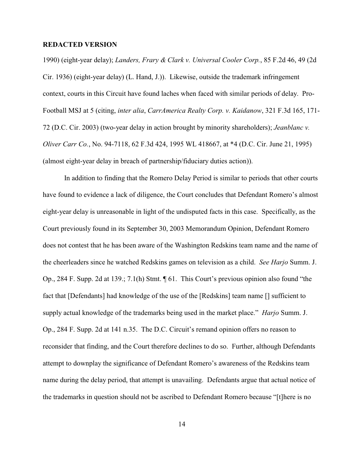1990) (eight-year delay); *Landers, Frary & Clark v. Universal Cooler Corp.*, 85 F.2d 46, 49 (2d Cir. 1936) (eight-year delay) (L. Hand, J.)). Likewise, outside the trademark infringement context, courts in this Circuit have found laches when faced with similar periods of delay. Pro-Football MSJ at 5 (citing, *inter alia*, *CarrAmerica Realty Corp. v. Kaidanow*, 321 F.3d 165, 171- 72 (D.C. Cir. 2003) (two-year delay in action brought by minority shareholders); *Jeanblanc v. Oliver Carr Co.*, No. 94-7118, 62 F.3d 424, 1995 WL 418667, at \*4 (D.C. Cir. June 21, 1995) (almost eight-year delay in breach of partnership/fiduciary duties action)).

In addition to finding that the Romero Delay Period is similar to periods that other courts have found to evidence a lack of diligence, the Court concludes that Defendant Romero's almost eight-year delay is unreasonable in light of the undisputed facts in this case. Specifically, as the Court previously found in its September 30, 2003 Memorandum Opinion, Defendant Romero does not contest that he has been aware of the Washington Redskins team name and the name of the cheerleaders since he watched Redskins games on television as a child. *See Harjo* Summ. J. Op., 284 F. Supp. 2d at 139.; 7.1(h) Stmt. ¶ 61. This Court's previous opinion also found "the fact that [Defendants] had knowledge of the use of the [Redskins] team name [] sufficient to supply actual knowledge of the trademarks being used in the market place." *Harjo* Summ. J. Op., 284 F. Supp. 2d at 141 n.35. The D.C. Circuit's remand opinion offers no reason to reconsider that finding, and the Court therefore declines to do so. Further, although Defendants attempt to downplay the significance of Defendant Romero's awareness of the Redskins team name during the delay period, that attempt is unavailing. Defendants argue that actual notice of the trademarks in question should not be ascribed to Defendant Romero because "[t]here is no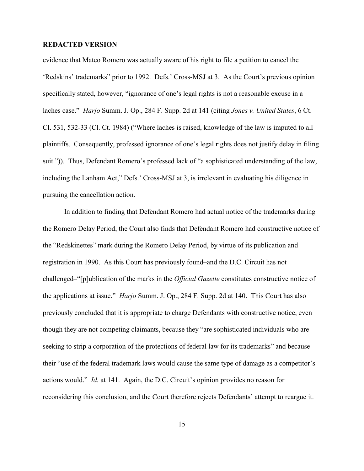evidence that Mateo Romero was actually aware of his right to file a petition to cancel the 'Redskins' trademarks" prior to 1992. Defs.' Cross-MSJ at 3. As the Court's previous opinion specifically stated, however, "ignorance of one's legal rights is not a reasonable excuse in a laches case." *Harjo* Summ. J. Op., 284 F. Supp. 2d at 141 (citing *Jones v. United States*, 6 Ct. Cl. 531, 532-33 (Cl. Ct. 1984) ("Where laches is raised, knowledge of the law is imputed to all plaintiffs. Consequently, professed ignorance of one's legal rights does not justify delay in filing suit.")). Thus, Defendant Romero's professed lack of "a sophisticated understanding of the law, including the Lanham Act," Defs.' Cross-MSJ at 3, is irrelevant in evaluating his diligence in pursuing the cancellation action.

In addition to finding that Defendant Romero had actual notice of the trademarks during the Romero Delay Period, the Court also finds that Defendant Romero had constructive notice of the "Redskinettes" mark during the Romero Delay Period, by virtue of its publication and registration in 1990. As this Court has previously found–and the D.C. Circuit has not challenged–"[p]ublication of the marks in the *Official Gazette* constitutes constructive notice of the applications at issue." *Harjo* Summ. J. Op., 284 F. Supp. 2d at 140. This Court has also previously concluded that it is appropriate to charge Defendants with constructive notice, even though they are not competing claimants, because they "are sophisticated individuals who are seeking to strip a corporation of the protections of federal law for its trademarks" and because their "use of the federal trademark laws would cause the same type of damage as a competitor's actions would." *Id.* at 141. Again, the D.C. Circuit's opinion provides no reason for reconsidering this conclusion, and the Court therefore rejects Defendants' attempt to reargue it.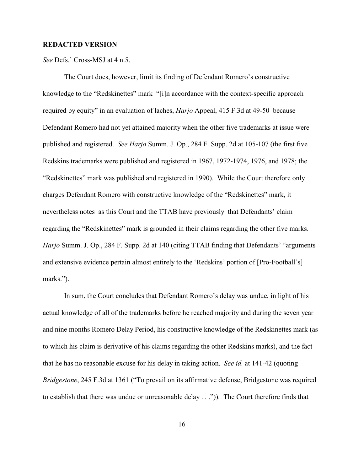*See* Defs.' Cross-MSJ at 4 n.5.

The Court does, however, limit its finding of Defendant Romero's constructive knowledge to the "Redskinettes" mark–"[i]n accordance with the context-specific approach required by equity" in an evaluation of laches, *Harjo* Appeal, 415 F.3d at 49-50–because Defendant Romero had not yet attained majority when the other five trademarks at issue were published and registered. *See Harjo* Summ. J. Op., 284 F. Supp. 2d at 105-107 (the first five Redskins trademarks were published and registered in 1967, 1972-1974, 1976, and 1978; the "Redskinettes" mark was published and registered in 1990). While the Court therefore only charges Defendant Romero with constructive knowledge of the "Redskinettes" mark, it nevertheless notes–as this Court and the TTAB have previously–that Defendants' claim regarding the "Redskinettes" mark is grounded in their claims regarding the other five marks. *Harjo* Summ. J. Op., 284 F. Supp. 2d at 140 (citing TTAB finding that Defendants' "arguments" and extensive evidence pertain almost entirely to the 'Redskins' portion of [Pro-Football's] marks.").

In sum, the Court concludes that Defendant Romero's delay was undue, in light of his actual knowledge of all of the trademarks before he reached majority and during the seven year and nine months Romero Delay Period, his constructive knowledge of the Redskinettes mark (as to which his claim is derivative of his claims regarding the other Redskins marks), and the fact that he has no reasonable excuse for his delay in taking action. *See id.* at 141-42 (quoting *Bridgestone*, 245 F.3d at 1361 ("To prevail on its affirmative defense, Bridgestone was required to establish that there was undue or unreasonable delay . . .")). The Court therefore finds that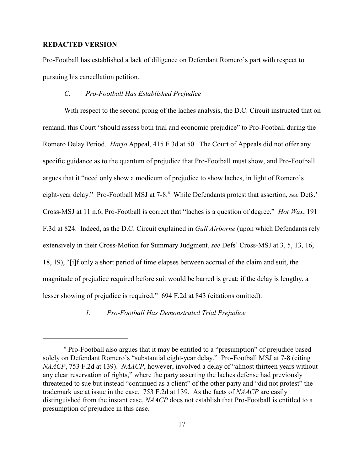Pro-Football has established a lack of diligence on Defendant Romero's part with respect to pursuing his cancellation petition.

## *C. Pro-Football Has Established Prejudice*

With respect to the second prong of the laches analysis, the D.C. Circuit instructed that on remand, this Court "should assess both trial and economic prejudice" to Pro-Football during the Romero Delay Period. *Harjo* Appeal, 415 F.3d at 50. The Court of Appeals did not offer any specific guidance as to the quantum of prejudice that Pro-Football must show, and Pro-Football argues that it "need only show a modicum of prejudice to show laches, in light of Romero's eight-year delay." Pro-Football MSJ at 7-8.<sup>6</sup> While Defendants protest that assertion, *see* Defs.' Cross-MSJ at 11 n.6, Pro-Football is correct that "laches is a question of degree." *Hot Wax*, 191 F.3d at 824. Indeed, as the D.C. Circuit explained in *Gull Airborne* (upon which Defendants rely extensively in their Cross-Motion for Summary Judgment, *see* Defs' Cross-MSJ at 3, 5, 13, 16, 18, 19), "[i]f only a short period of time elapses between accrual of the claim and suit, the magnitude of prejudice required before suit would be barred is great; if the delay is lengthy, a lesser showing of prejudice is required." 694 F.2d at 843 (citations omitted).

*1. Pro-Football Has Demonstrated Trial Prejudice*

 $6$  Pro-Football also argues that it may be entitled to a "presumption" of prejudice based solely on Defendant Romero's "substantial eight-year delay." Pro-Football MSJ at 7-8 (citing *NAACP*, 753 F.2d at 139). *NAACP*, however, involved a delay of "almost thirteen years without any clear reservation of rights," where the party asserting the laches defense had previously threatened to sue but instead "continued as a client" of the other party and "did not protest" the trademark use at issue in the case. 753 F.2d at 139. As the facts of *NAACP* are easily distinguished from the instant case, *NAACP* does not establish that Pro-Football is entitled to a presumption of prejudice in this case.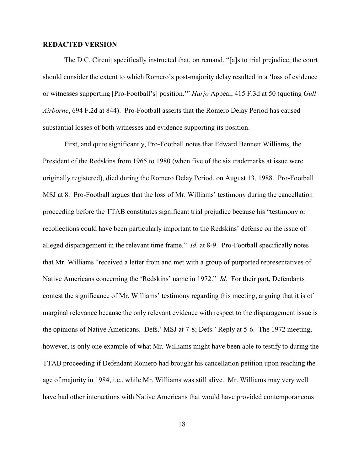The D.C. Circuit specifically instructed that, on remand, "[a]s to trial prejudice, the court should consider the extent to which Romero's post-majority delay resulted in a 'loss of evidence or witnesses supporting [Pro-Football's] position.'" *Harjo* Appeal, 415 F.3d at 50 (quoting *Gull Airborne*, 694 F.2d at 844). Pro-Football asserts that the Romero Delay Period has caused substantial losses of both witnesses and evidence supporting its position.

First, and quite significantly, Pro-Football notes that Edward Bennett Williams, the President of the Redskins from 1965 to 1980 (when five of the six trademarks at issue were originally registered), died during the Romero Delay Period, on August 13, 1988. Pro-Football MSJ at 8. Pro-Football argues that the loss of Mr. Williams' testimony during the cancellation proceeding before the TTAB constitutes significant trial prejudice because his "testimony or recollections could have been particularly important to the Redskins' defense on the issue of alleged disparagement in the relevant time frame." *Id.* at 8-9. Pro-Football specifically notes that Mr. Williams "received a letter from and met with a group of purported representatives of Native Americans concerning the 'Redskins' name in 1972." *Id.* For their part, Defendants contest the significance of Mr. Williams' testimony regarding this meeting, arguing that it is of marginal relevance because the only relevant evidence with respect to the disparagement issue is the opinions of Native Americans. Defs.' MSJ at 7-8; Defs.' Reply at 5-6. The 1972 meeting, however, is only one example of what Mr. Williams might have been able to testify to during the TTAB proceeding if Defendant Romero had brought his cancellation petition upon reaching the age of majority in 1984, i.e., while Mr. Williams was still alive. Mr. Williams may very well have had other interactions with Native Americans that would have provided contemporaneous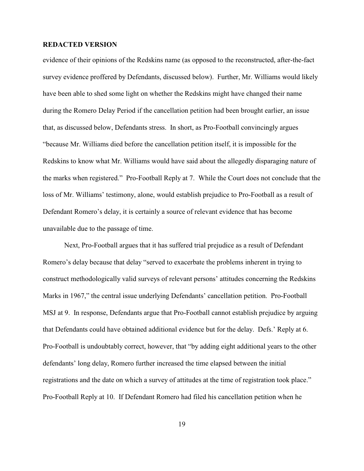evidence of their opinions of the Redskins name (as opposed to the reconstructed, after-the-fact survey evidence proffered by Defendants, discussed below). Further, Mr. Williams would likely have been able to shed some light on whether the Redskins might have changed their name during the Romero Delay Period if the cancellation petition had been brought earlier, an issue that, as discussed below, Defendants stress. In short, as Pro-Football convincingly argues "because Mr. Williams died before the cancellation petition itself, it is impossible for the Redskins to know what Mr. Williams would have said about the allegedly disparaging nature of the marks when registered." Pro-Football Reply at 7. While the Court does not conclude that the loss of Mr. Williams' testimony, alone, would establish prejudice to Pro-Football as a result of Defendant Romero's delay, it is certainly a source of relevant evidence that has become unavailable due to the passage of time.

Next, Pro-Football argues that it has suffered trial prejudice as a result of Defendant Romero's delay because that delay "served to exacerbate the problems inherent in trying to construct methodologically valid surveys of relevant persons' attitudes concerning the Redskins Marks in 1967," the central issue underlying Defendants' cancellation petition. Pro-Football MSJ at 9. In response, Defendants argue that Pro-Football cannot establish prejudice by arguing that Defendants could have obtained additional evidence but for the delay. Defs.' Reply at 6. Pro-Football is undoubtably correct, however, that "by adding eight additional years to the other defendants' long delay, Romero further increased the time elapsed between the initial registrations and the date on which a survey of attitudes at the time of registration took place." Pro-Football Reply at 10. If Defendant Romero had filed his cancellation petition when he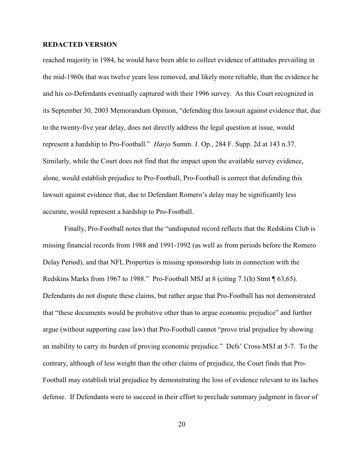reached majority in 1984, he would have been able to collect evidence of attitudes prevailing in the mid-1960s that was twelve years less removed, and likely more reliable, than the evidence he and his co-Defendants eventually captured with their 1996 survey. As this Court recognized in its September 30, 2003 Memorandum Opinion, "defending this lawsuit against evidence that, due to the twenty-five year delay, does not directly address the legal question at issue, would represent a hardship to Pro-Football." *Harjo* Summ. J. Op., 284 F. Supp. 2d at 143 n.37. Similarly, while the Court does not find that the impact upon the available survey evidence, alone, would establish prejudice to Pro-Football, Pro-Football is correct that defending this lawsuit against evidence that, due to Defendant Romero's delay may be significantly less accurate, would represent a hardship to Pro-Football.

Finally, Pro-Football notes that the "undisputed record reflects that the Redskins Club is missing financial records from 1988 and 1991-1992 (as well as from periods before the Romero Delay Period), and that NFL Properties is missing sponsorship lists in connection with the Redskins Marks from 1967 to 1988." Pro-Football MSJ at 8 (citing 7.1(h) Stmt ¶ 63,65). Defendants do not dispute these claims, but rather argue that Pro-Football has not demonstrated that "these documents would be probative other than to argue economic prejudice" and further argue (without supporting case law) that Pro-Football cannot "prove trial prejudice by showing an inability to carry its burden of proving economic prejudice." Defs' Cross-MSJ at 5-7. To the contrary, although of less weight than the other claims of prejudice, the Court finds that Pro-Football may establish trial prejudice by demonstrating the loss of evidence relevant to its laches defense. If Defendants were to succeed in their effort to preclude summary judgment in favor of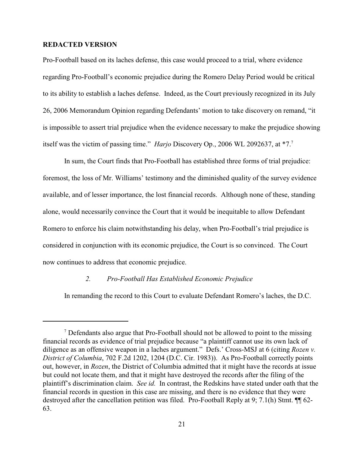Pro-Football based on its laches defense, this case would proceed to a trial, where evidence regarding Pro-Football's economic prejudice during the Romero Delay Period would be critical to its ability to establish a laches defense. Indeed, as the Court previously recognized in its July 26, 2006 Memorandum Opinion regarding Defendants' motion to take discovery on remand, "it is impossible to assert trial prejudice when the evidence necessary to make the prejudice showing itself was the victim of passing time." *Harjo* Discovery Op., 2006 WL 2092637, at \*7.<sup>7</sup>

In sum, the Court finds that Pro-Football has established three forms of trial prejudice: foremost, the loss of Mr. Williams' testimony and the diminished quality of the survey evidence available, and of lesser importance, the lost financial records. Although none of these, standing alone, would necessarily convince the Court that it would be inequitable to allow Defendant Romero to enforce his claim notwithstanding his delay, when Pro-Football's trial prejudice is considered in conjunction with its economic prejudice, the Court is so convinced. The Court now continues to address that economic prejudice.

## *2. Pro-Football Has Established Economic Prejudice*

In remanding the record to this Court to evaluate Defendant Romero's laches, the D.C.

 $\alpha$ <sup>7</sup> Defendants also argue that Pro-Football should not be allowed to point to the missing financial records as evidence of trial prejudice because "a plaintiff cannot use its own lack of diligence as an offensive weapon in a laches argument." Defs.' Cross-MSJ at 6 (citing *Rozen v. District of Columbia*, 702 F.2d 1202, 1204 (D.C. Cir. 1983)). As Pro-Football correctly points out, however, in *Rozen*, the District of Columbia admitted that it might have the records at issue but could not locate them, and that it might have destroyed the records after the filing of the plaintiff's discrimination claim. *See id.* In contrast, the Redskins have stated under oath that the financial records in question in this case are missing, and there is no evidence that they were destroyed after the cancellation petition was filed. Pro-Football Reply at 9; 7.1(h) Stmt.  $\P$  62-63.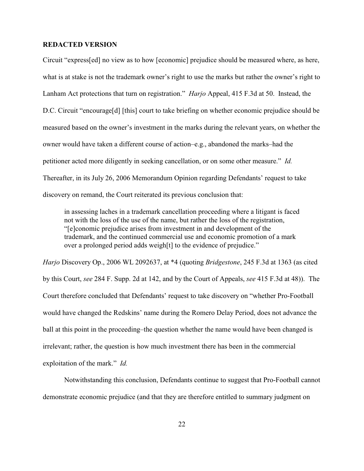Circuit "express[ed] no view as to how [economic] prejudice should be measured where, as here, what is at stake is not the trademark owner's right to use the marks but rather the owner's right to Lanham Act protections that turn on registration." *Harjo* Appeal, 415 F.3d at 50. Instead, the D.C. Circuit "encourage[d] [this] court to take briefing on whether economic prejudice should be measured based on the owner's investment in the marks during the relevant years, on whether the owner would have taken a different course of action–e.g., abandoned the marks–had the petitioner acted more diligently in seeking cancellation, or on some other measure." *Id.* Thereafter, in its July 26, 2006 Memorandum Opinion regarding Defendants' request to take discovery on remand, the Court reiterated its previous conclusion that:

in assessing laches in a trademark cancellation proceeding where a litigant is faced not with the loss of the use of the name, but rather the loss of the registration, "[e]conomic prejudice arises from investment in and development of the trademark, and the continued commercial use and economic promotion of a mark over a prolonged period adds weigh[t] to the evidence of prejudice."

*Harjo* Discovery Op., 2006 WL 2092637, at \*4 (quoting *Bridgestone*, 245 F.3d at 1363 (as cited by this Court, *see* 284 F. Supp. 2d at 142, and by the Court of Appeals, *see* 415 F.3d at 48)). The Court therefore concluded that Defendants' request to take discovery on "whether Pro-Football would have changed the Redskins' name during the Romero Delay Period, does not advance the ball at this point in the proceeding–the question whether the name would have been changed is irrelevant; rather, the question is how much investment there has been in the commercial exploitation of the mark." *Id.*

Notwithstanding this conclusion, Defendants continue to suggest that Pro-Football cannot demonstrate economic prejudice (and that they are therefore entitled to summary judgment on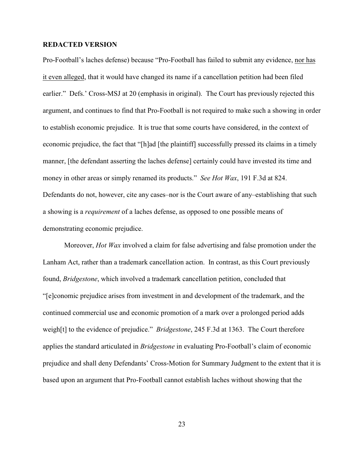Pro-Football's laches defense) because "Pro-Football has failed to submit any evidence, nor has it even alleged, that it would have changed its name if a cancellation petition had been filed earlier." Defs.' Cross-MSJ at 20 (emphasis in original). The Court has previously rejected this argument, and continues to find that Pro-Football is not required to make such a showing in order to establish economic prejudice. It is true that some courts have considered, in the context of economic prejudice, the fact that "[h]ad [the plaintiff] successfully pressed its claims in a timely manner, [the defendant asserting the laches defense] certainly could have invested its time and money in other areas or simply renamed its products." *See Hot Wax*, 191 F.3d at 824. Defendants do not, however, cite any cases–nor is the Court aware of any–establishing that such a showing is a *requirement* of a laches defense, as opposed to one possible means of demonstrating economic prejudice.

Moreover, *Hot Wax* involved a claim for false advertising and false promotion under the Lanham Act, rather than a trademark cancellation action. In contrast, as this Court previously found, *Bridgestone*, which involved a trademark cancellation petition, concluded that "[e]conomic prejudice arises from investment in and development of the trademark, and the continued commercial use and economic promotion of a mark over a prolonged period adds weigh[t] to the evidence of prejudice." *Bridgestone*, 245 F.3d at 1363. The Court therefore applies the standard articulated in *Bridgestone* in evaluating Pro-Football's claim of economic prejudice and shall deny Defendants' Cross-Motion for Summary Judgment to the extent that it is based upon an argument that Pro-Football cannot establish laches without showing that the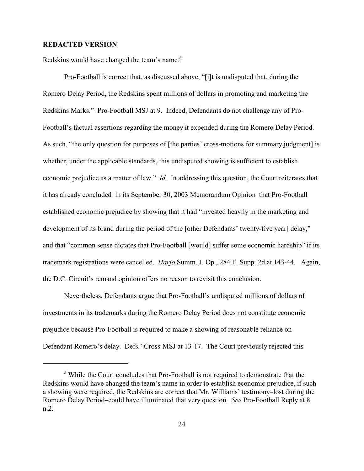Redskins would have changed the team's name.<sup>8</sup>

Pro-Football is correct that, as discussed above, "[i]t is undisputed that, during the Romero Delay Period, the Redskins spent millions of dollars in promoting and marketing the Redskins Marks." Pro-Football MSJ at 9. Indeed, Defendants do not challenge any of Pro-Football's factual assertions regarding the money it expended during the Romero Delay Period. As such, "the only question for purposes of [the parties' cross-motions for summary judgment] is whether, under the applicable standards, this undisputed showing is sufficient to establish economic prejudice as a matter of law." *Id.* In addressing this question, the Court reiterates that it has already concluded–in its September 30, 2003 Memorandum Opinion–that Pro-Football established economic prejudice by showing that it had "invested heavily in the marketing and development of its brand during the period of the [other Defendants' twenty-five year] delay," and that "common sense dictates that Pro-Football [would] suffer some economic hardship" if its trademark registrations were cancelled. *Harjo* Summ. J. Op., 284 F. Supp. 2d at 143-44. Again, the D.C. Circuit's remand opinion offers no reason to revisit this conclusion.

Nevertheless, Defendants argue that Pro-Football's undisputed millions of dollars of investments in its trademarks during the Romero Delay Period does not constitute economic prejudice because Pro-Football is required to make a showing of reasonable reliance on Defendant Romero's delay. Defs.' Cross-MSJ at 13-17. The Court previously rejected this

<sup>&</sup>lt;sup>8</sup> While the Court concludes that Pro-Football is not required to demonstrate that the Redskins would have changed the team's name in order to establish economic prejudice, if such a showing were required, the Redskins are correct that Mr. Williams' testimony–lost during the Romero Delay Period–could have illuminated that very question. *See* Pro-Football Reply at 8 n.2.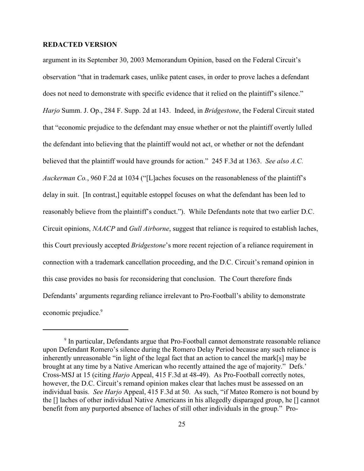argument in its September 30, 2003 Memorandum Opinion, based on the Federal Circuit's observation "that in trademark cases, unlike patent cases, in order to prove laches a defendant does not need to demonstrate with specific evidence that it relied on the plaintiff's silence." *Harjo* Summ. J. Op., 284 F. Supp. 2d at 143. Indeed, in *Bridgestone*, the Federal Circuit stated that "economic prejudice to the defendant may ensue whether or not the plaintiff overtly lulled the defendant into believing that the plaintiff would not act, or whether or not the defendant believed that the plaintiff would have grounds for action." 245 F.3d at 1363. *See also A.C. Auckerman Co.*, 960 F.2d at 1034 ("[L]aches focuses on the reasonableness of the plaintiff's delay in suit. [In contrast,] equitable estoppel focuses on what the defendant has been led to reasonably believe from the plaintiff's conduct."). While Defendants note that two earlier D.C. Circuit opinions, *NAACP* and *Gull Airborne*, suggest that reliance is required to establish laches, this Court previously accepted *Bridgestone*'s more recent rejection of a reliance requirement in connection with a trademark cancellation proceeding, and the D.C. Circuit's remand opinion in this case provides no basis for reconsidering that conclusion. The Court therefore finds Defendants' arguments regarding reliance irrelevant to Pro-Football's ability to demonstrate economic prejudice.<sup>9</sup>

 $9$  In particular, Defendants argue that Pro-Football cannot demonstrate reasonable reliance upon Defendant Romero's silence during the Romero Delay Period because any such reliance is inherently unreasonable "in light of the legal fact that an action to cancel the mark[s] may be brought at any time by a Native American who recently attained the age of majority." Defs.' Cross-MSJ at 15 (citing *Harjo* Appeal, 415 F.3d at 48-49). As Pro-Football correctly notes, however, the D.C. Circuit's remand opinion makes clear that laches must be assessed on an individual basis. *See Harjo* Appeal, 415 F.3d at 50. As such, "if Mateo Romero is not bound by the [] laches of other individual Native Americans in his allegedly disparaged group, he [] cannot benefit from any purported absence of laches of still other individuals in the group." Pro-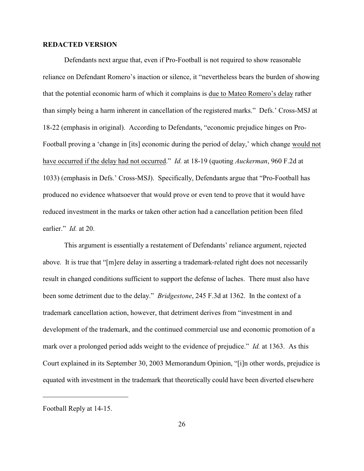Defendants next argue that, even if Pro-Football is not required to show reasonable reliance on Defendant Romero's inaction or silence, it "nevertheless bears the burden of showing that the potential economic harm of which it complains is due to Mateo Romero's delay rather than simply being a harm inherent in cancellation of the registered marks." Defs.' Cross-MSJ at 18-22 (emphasis in original). According to Defendants, "economic prejudice hinges on Pro-Football proving a 'change in [its] economic during the period of delay,' which change would not have occurred if the delay had not occurred." *Id.* at 18-19 (quoting *Auckerman*, 960 F.2d at 1033) (emphasis in Defs.' Cross-MSJ). Specifically, Defendants argue that "Pro-Football has produced no evidence whatsoever that would prove or even tend to prove that it would have reduced investment in the marks or taken other action had a cancellation petition been filed earlier." *Id.* at 20.

This argument is essentially a restatement of Defendants' reliance argument, rejected above. It is true that "[m]ere delay in asserting a trademark-related right does not necessarily result in changed conditions sufficient to support the defense of laches. There must also have been some detriment due to the delay." *Bridgestone*, 245 F.3d at 1362. In the context of a trademark cancellation action, however, that detriment derives from "investment in and development of the trademark, and the continued commercial use and economic promotion of a mark over a prolonged period adds weight to the evidence of prejudice." *Id.* at 1363. As this Court explained in its September 30, 2003 Memorandum Opinion, "[i]n other words, prejudice is equated with investment in the trademark that theoretically could have been diverted elsewhere

Football Reply at 14-15.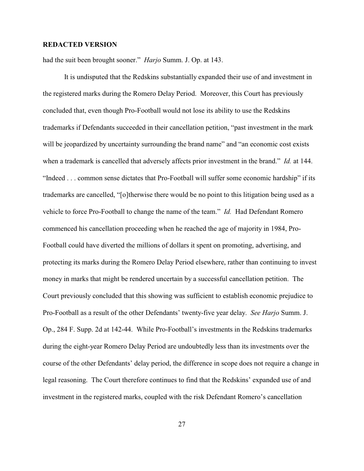had the suit been brought sooner." *Harjo* Summ. J. Op. at 143.

It is undisputed that the Redskins substantially expanded their use of and investment in the registered marks during the Romero Delay Period. Moreover, this Court has previously concluded that, even though Pro-Football would not lose its ability to use the Redskins trademarks if Defendants succeeded in their cancellation petition, "past investment in the mark will be jeopardized by uncertainty surrounding the brand name" and "an economic cost exists when a trademark is cancelled that adversely affects prior investment in the brand." *Id.* at 144. "Indeed . . . common sense dictates that Pro-Football will suffer some economic hardship" if its trademarks are cancelled, "[o]therwise there would be no point to this litigation being used as a vehicle to force Pro-Football to change the name of the team." *Id.* Had Defendant Romero commenced his cancellation proceeding when he reached the age of majority in 1984, Pro-Football could have diverted the millions of dollars it spent on promoting, advertising, and protecting its marks during the Romero Delay Period elsewhere, rather than continuing to invest money in marks that might be rendered uncertain by a successful cancellation petition. The Court previously concluded that this showing was sufficient to establish economic prejudice to Pro-Football as a result of the other Defendants' twenty-five year delay. *See Harjo* Summ. J. Op., 284 F. Supp. 2d at 142-44. While Pro-Football's investments in the Redskins trademarks during the eight-year Romero Delay Period are undoubtedly less than its investments over the course of the other Defendants' delay period, the difference in scope does not require a change in legal reasoning. The Court therefore continues to find that the Redskins' expanded use of and investment in the registered marks, coupled with the risk Defendant Romero's cancellation